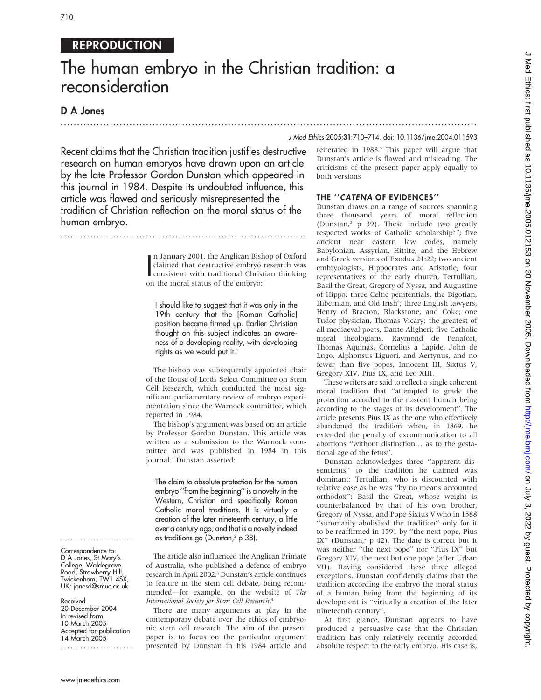# **REPRODUCTION**

# The human embryo in the Christian tradition: a reconsideration

...............................................................................................................................

# D A Jones

#### J Med Ethics 2005;31:710–714. doi: 10.1136/jme.2004.011593

Recent claims that the Christian tradition justifies destructive research on human embryos have drawn upon an article by the late Professor Gordon Dunstan which appeared in this journal in 1984. Despite its undoubted influence, this article was flawed and seriously misrepresented the tradition of Christian reflection on the moral status of the human embryo.

...........................................................................

In January 2001, the Anglican Bishop of Oxford<br>claimed that destructive embryo research was<br>consistent with traditional Christian thinking n January 2001, the Anglican Bishop of Oxford claimed that destructive embryo research was on the moral status of the embryo:

I should like to suggest that it was only in the 19th century that the [Roman Catholic] position became firmed up. Earlier Christian thought on this subject indicates an awareness of a developing reality, with developing rights as we would put it.<sup>1</sup>

The bishop was subsequently appointed chair of the House of Lords Select Committee on Stem Cell Research, which conducted the most significant parliamentary review of embryo experimentation since the Warnock committee, which reported in 1984.

The bishop's argument was based on an article by Professor Gordon Dunstan. This article was written as a submission to the Warnock committee and was published in 1984 in this journal.2 Dunstan asserted:

The claim to absolute protection for the human embryo ''from the beginning'' is a novelty in the Western, Christian and specifically Roman Catholic moral traditions. It is virtually a creation of the later nineteenth century, a little over a century ago; and that is a novelty indeed as traditions go (Dunstan,<sup>2</sup> p 38).

The article also influenced the Anglican Primate of Australia, who published a defence of embryo research in April 2002.<sup>3</sup> Dunstan's article continues to feature in the stem cell debate, being recommended—for example, on the website of The International Society for Stem Cell Research. 4

There are many arguments at play in the contemporary debate over the ethics of embryonic stem cell research. The aim of the present paper is to focus on the particular argument presented by Dunstan in his 1984 article and reiterated in 1988.<sup>5</sup> This paper will argue that Dunstan's article is flawed and misleading. The criticisms of the present paper apply equally to both versions

### THE ''CATENA OF EVIDENCES''

Dunstan draws on a range of sources spanning three thousand years of moral reflection (Dunstan, $2$  p 39). These include two greatly respected works of Catholic scholarship<sup>67</sup>; five ancient near eastern law codes, namely Babylonian, Assyrian, Hittite, and the Hebrew and Greek versions of Exodus 21:22; two ancient embryologists, Hippocrates and Aristotle; four representatives of the early church, Tertullian, Basil the Great, Gregory of Nyssa, and Augustine of Hippo; three Celtic penitentials, the Bigotian, Hibernian, and Old Irish<sup>8</sup>; three English lawyers, Henry of Bracton, Blackstone, and Coke; one Tudor physician, Thomas Vicary; the greatest of all mediaeval poets, Dante Aligheri; five Catholic moral theologians, Raymond de Penafort, Thomas Aquinas, Cornelius a Lapide, John de Lugo, Alphonsus Liguori, and Aertynus, and no fewer than five popes, Innocent III, Sixtus V, Gregory XIV, Pius IX, and Leo XIII.

These writers are said to reflect a single coherent moral tradition that ''attempted to grade the protection accorded to the nascent human being according to the stages of its development''. The article presents Pius IX as the one who effectively abandoned the tradition when, in 1869, he extended the penalty of excommunication to all abortions ''without distinction… as to the gestational age of the fetus''.

Dunstan acknowledges three ''apparent dissentients'' to the tradition he claimed was dominant: Tertullian, who is discounted with relative ease as he was ''by no means accounted orthodox''; Basil the Great, whose weight is counterbalanced by that of his own brother, Gregory of Nyssa, and Pope Sixtus V who in 1588 ''summarily abolished the tradition'' only for it to be reaffirmed in 1591 by ''the next pope, Pius IX" (Dunstan, $2$  p 42). The date is correct but it was neither ''the next pope'' nor ''Pius IX'' but Gregory XIV, the next but one pope (after Urban VII). Having considered these three alleged exceptions, Dunstan confidently claims that the tradition according the embryo the moral status of a human being from the beginning of its development is ''virtually a creation of the later nineteenth century''.

At first glance, Dunstan appears to have produced a persuasive case that the Christian tradition has only relatively recently accorded absolute respect to the early embryo. His case is,

Correspondence to: D A Jones, St Mary's College, Waldegrave Road, Strawberry Hill, Twickenham, TW1 4SX, UK; jonesd@smuc.ac.uk

.......................

Received 20 December 2004 In revised form 10 March 2005 Accepted for publication 14 March 2005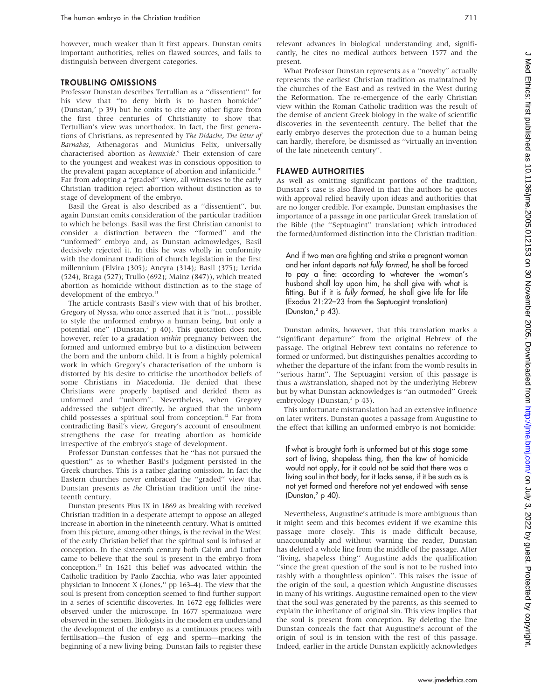however, much weaker than it first appears. Dunstan omits important authorities, relies on flawed sources, and fails to distinguish between divergent categories.

#### TROUBLING OMISSIONS

Professor Dunstan describes Tertullian as a ''dissentient'' for his view that ''to deny birth is to hasten homicide'' (Dunstan, $2$  p 39) but he omits to cite any other figure from the first three centuries of Christianity to show that Tertullian's view was unorthodox. In fact, the first generations of Christians, as represented by The Didache, The letter of Barnabas, Athenagoras and Municius Felix, universally characterised abortion as *homicide*.<sup>9</sup> Their extension of care to the youngest and weakest was in conscious opposition to the prevalent pagan acceptance of abortion and infanticide.<sup>10</sup> Far from adopting a ''graded'' view, all witnesses to the early Christian tradition reject abortion without distinction as to stage of development of the embryo.

Basil the Great is also described as a ''dissentient'', but again Dunstan omits consideration of the particular tradition to which he belongs. Basil was the first Christian canonist to consider a distinction between the ''formed'' and the ''unformed'' embryo and, as Dunstan acknowledges, Basil decisively rejected it. In this he was wholly in conformity with the dominant tradition of church legislation in the first millennium (Elvira (305); Ancyra (314); Basil (375); Lerida (524); Braga (527); Trullo (692); Mainz (847)), which treated abortion as homicide without distinction as to the stage of development of the embryo.<sup>11</sup>

The article contrasts Basil's view with that of his brother, Gregory of Nyssa, who once asserted that it is ''not… possible to style the unformed embryo a human being, but only a potential one" (Dunstan,<sup>2</sup> p 40). This quotation does not, however, refer to a gradation within pregnancy between the formed and unformed embryo but to a distinction between the born and the unborn child. It is from a highly polemical work in which Gregory's characterisation of the unborn is distorted by his desire to criticise the unorthodox beliefs of some Christians in Macedonia. He denied that these Christians were properly baptised and derided them as unformed and ''unborn''. Nevertheless, when Gregory addressed the subject directly, he argued that the unborn child possesses a spiritual soul from conception.12 Far from contradicting Basil's view, Gregory's account of ensoulment strengthens the case for treating abortion as homicide irrespective of the embryo's stage of development.

Professor Dunstan confesses that he ''has not pursued the question'' as to whether Basil's judgment persisted in the Greek churches. This is a rather glaring omission. In fact the Eastern churches never embraced the ''graded'' view that Dunstan presents as the Christian tradition until the nineteenth century.

Dunstan presents Pius IX in 1869 as breaking with received Christian tradition in a desperate attempt to oppose an alleged increase in abortion in the nineteenth century. What is omitted from this picture, among other things, is the revival in the West of the early Christian belief that the spiritual soul is infused at conception. In the sixteenth century both Calvin and Luther came to believe that the soul is present in the embryo from conception.13 In 1621 this belief was advocated within the Catholic tradition by Paolo Zacchia, who was later appointed physician to Innocent X (Jones, $11$  pp 163–4). The view that the soul is present from conception seemed to find further support in a series of scientific discoveries. In 1672 egg follicles were observed under the microscope. In 1677 spermatozoa were observed in the semen. Biologists in the modern era understand the development of the embryo as a continuous process with fertilisation—the fusion of egg and sperm—marking the beginning of a new living being. Dunstan fails to register these relevant advances in biological understanding and, significantly, he cites no medical authors between 1577 and the present.

What Professor Dunstan represents as a ''novelty'' actually represents the earliest Christian tradition as maintained by the churches of the East and as revived in the West during the Reformation. The re-emergence of the early Christian view within the Roman Catholic tradition was the result of the demise of ancient Greek biology in the wake of scientific discoveries in the seventeenth century. The belief that the early embryo deserves the protection due to a human being can hardly, therefore, be dismissed as ''virtually an invention of the late nineteenth century''.

#### FLAWED AUTHORITIES

As well as omitting significant portions of the tradition, Dunstan's case is also flawed in that the authors he quotes with approval relied heavily upon ideas and authorities that are no longer credible. For example, Dunstan emphasises the importance of a passage in one particular Greek translation of the Bible (the ''Septuagint'' translation) which introduced the formed/unformed distinction into the Christian tradition:

And if two men are fighting and strike a pregnant woman and her infant departs not fully formed, he shall be forced to pay a fine: according to whatever the woman's husband shall lay upon him, he shall give with what is fitting. But if it is fully formed, he shall give life for life (Exodus 21:22–23 from the Septuagint translation) (Dunstan, $^2$  p 43).

Dunstan admits, however, that this translation marks a ''significant departure'' from the original Hebrew of the passage. The original Hebrew text contains no reference to formed or unformed, but distinguishes penalties according to whether the departure of the infant from the womb results in "serious harm". The Septuagint version of this passage is thus a mistranslation, shaped not by the underlying Hebrew but by what Dunstan acknowledges is ''an outmoded'' Greek embryology (Dunstan, $2$  p 43).

This unfortunate mistranslation had an extensive influence on later writers. Dunstan quotes a passage from Augustine to the effect that killing an unformed embryo is not homicide:

If what is brought forth is unformed but at this stage some sort of living, shapeless thing, then the law of homicide would not apply, for it could not be said that there was a living soul in that body, for it lacks sense, if it be such as is not yet formed and therefore not yet endowed with sense (Dunstan,2 p 40).

Nevertheless, Augustine's attitude is more ambiguous than it might seem and this becomes evident if we examine this passage more closely. This is made difficult because, unaccountably and without warning the reader, Dunstan has deleted a whole line from the middle of the passage. After "living, shapeless thing" Augustine adds the qualification ''since the great question of the soul is not to be rushed into rashly with a thoughtless opinion''. This raises the issue of the origin of the soul, a question which Augustine discusses in many of his writings. Augustine remained open to the view that the soul was generated by the parents, as this seemed to explain the inheritance of original sin. This view implies that the soul is present from conception. By deleting the line Dunstan conceals the fact that Augustine's account of the origin of soul is in tension with the rest of this passage. Indeed, earlier in the article Dunstan explicitly acknowledges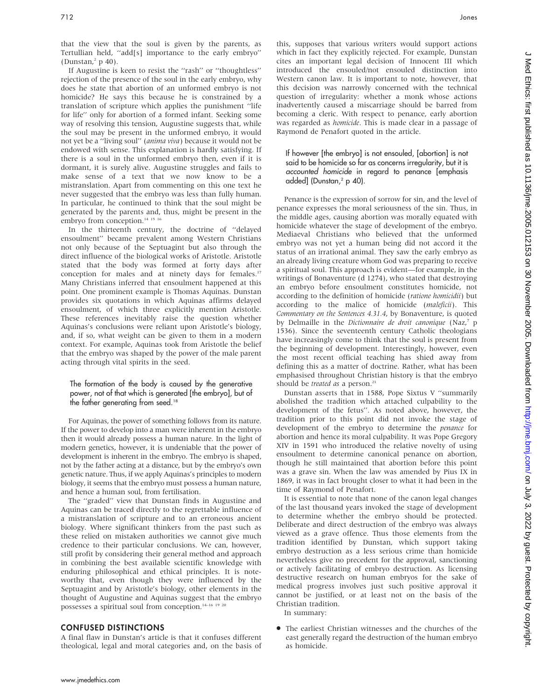that the view that the soul is given by the parents, as Tertullian held, ''add[s] importance to the early embryo'' (Dunstan, $2$  p 40).

If Augustine is keen to resist the ''rash'' or ''thoughtless'' rejection of the presence of the soul in the early embryo, why does he state that abortion of an unformed embryo is not homicide? He says this because he is constrained by a translation of scripture which applies the punishment ''life for life'' only for abortion of a formed infant. Seeking some way of resolving this tension, Augustine suggests that, while the soul may be present in the unformed embryo, it would not yet be a ''living soul'' (anima viva) because it would not be endowed with sense. This explanation is hardly satisfying. If there is a soul in the unformed embryo then, even if it is dormant, it is surely alive. Augustine struggles and fails to make sense of a text that we now know to be a mistranslation. Apart from commenting on this one text he never suggested that the embryo was less than fully human. In particular, he continued to think that the soul might be generated by the parents and, thus, might be present in the embryo from conception.<sup>14 15</sup> <sup>16</sup>

In the thirteenth century, the doctrine of ''delayed ensoulment'' became prevalent among Western Christians not only because of the Septuagint but also through the direct influence of the biological works of Aristotle. Aristotle stated that the body was formed at forty days after conception for males and at ninety days for females.<sup>17</sup> Many Christians inferred that ensoulment happened at this point. One prominent example is Thomas Aquinas. Dunstan provides six quotations in which Aquinas affirms delayed ensoulment, of which three explicitly mention Aristotle. These references inevitably raise the question whether Aquinas's conclusions were reliant upon Aristotle's biology, and, if so, what weight can be given to them in a modern context. For example, Aquinas took from Aristotle the belief that the embryo was shaped by the power of the male parent acting through vital spirits in the seed.

#### The formation of the body is caused by the generative power, not of that which is generated [the embryo], but of the father generating from seed.<sup>18</sup>

For Aquinas, the power of something follows from its nature. If the power to develop into a man were inherent in the embryo then it would already possess a human nature. In the light of modern genetics, however, it is undeniable that the power of development is inherent in the embryo. The embryo is shaped, not by the father acting at a distance, but by the embryo's own genetic nature. Thus, if we apply Aquinas's principles to modern biology, it seems that the embryo must possess a human nature, and hence a human soul, from fertilisation.

The ''graded'' view that Dunstan finds in Augustine and Aquinas can be traced directly to the regrettable influence of a mistranslation of scripture and to an erroneous ancient biology. Where significant thinkers from the past such as these relied on mistaken authorities we cannot give much credence to their particular conclusions. We can, however, still profit by considering their general method and approach in combining the best available scientific knowledge with enduring philosophical and ethical principles. It is noteworthy that, even though they were influenced by the Septuagint and by Aristotle's biology, other elements in the thought of Augustine and Aquinas suggest that the embryo possesses a spiritual soul from conception.14–16 19 20

# CONFUSED DISTINCTIONS

A final flaw in Dunstan's article is that it confuses different theological, legal and moral categories and, on the basis of this, supposes that various writers would support actions which in fact they explicitly rejected. For example, Dunstan cites an important legal decision of Innocent III which introduced the ensouled/not ensouled distinction into Western canon law. It is important to note, however, that this decision was narrowly concerned with the technical question of irregularity: whether a monk whose actions inadvertently caused a miscarriage should be barred from becoming a cleric. With respect to penance, early abortion was regarded as homicide. This is made clear in a passage of Raymond de Penafort quoted in the article.

## If however [the embryo] is not ensouled, [abortion] is not said to be homicide so far as concerns irregularity, but it is accounted homicide in regard to penance [emphasis added] (Dunstan, $^2$  p 40).

Penance is the expression of sorrow for sin, and the level of penance expresses the moral seriousness of the sin. Thus, in the middle ages, causing abortion was morally equated with homicide whatever the stage of development of the embryo. Mediaeval Christians who believed that the unformed embryo was not yet a human being did not accord it the status of an irrational animal. They saw the early embryo as an already living creature whom God was preparing to receive a spiritual soul. This approach is evident—for example, in the writings of Bonaventure (d 1274), who stated that destroying an embryo before ensoulment constitutes homicide, not according to the definition of homicide (ratione homicidii) but according to the malice of homicide (maleficii). This Commentary on the Sentences 4.31.4, by Bonaventure, is quoted by Delmaille in the Dictionnaire de droit canonique (Naz, $^7$  p 1536). Since the seventeenth century Catholic theologians have increasingly come to think that the soul is present from the beginning of development. Interestingly, however, even the most recent official teaching has shied away from defining this as a matter of doctrine. Rather, what has been emphasised throughout Christian history is that the embryo should be *treated as* a person.<sup>21</sup>

Dunstan asserts that in 1588, Pope Sixtus V ''summarily abolished the tradition which attached culpability to the development of the fetus''. As noted above, however, the tradition prior to this point did not invoke the stage of development of the embryo to determine the penance for abortion and hence its moral culpability. It was Pope Gregory XIV in 1591 who introduced the relative novelty of using ensoulment to determine canonical penance on abortion, though he still maintained that abortion before this point was a grave sin. When the law was amended by Pius IX in 1869, it was in fact brought closer to what it had been in the time of Raymond of Penafort.

It is essential to note that none of the canon legal changes of the last thousand years invoked the stage of development to determine whether the embryo should be protected. Deliberate and direct destruction of the embryo was always viewed as a grave offence. Thus those elements from the tradition identified by Dunstan, which support taking embryo destruction as a less serious crime than homicide nevertheless give no precedent for the approval, sanctioning or actively facilitating of embryo destruction. As licensing destructive research on human embryos for the sake of medical progress involves just such positive approval it cannot be justified, or at least not on the basis of the Christian tradition.

In summary:

• The earliest Christian witnesses and the churches of the east generally regard the destruction of the human embryo as homicide.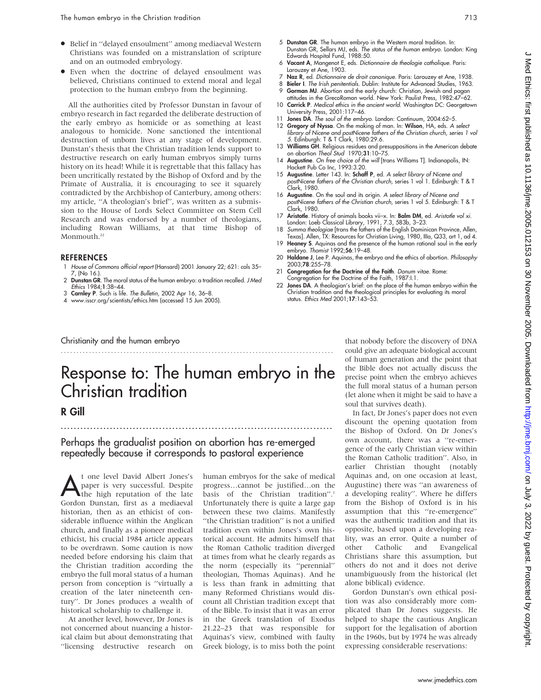- N Belief in ''delayed ensoulment'' among mediaeval Western Christians was founded on a mistranslation of scripture and on an outmoded embryology.
- N Even when the doctrine of delayed ensoulment was believed, Christians continued to extend moral and legal protection to the human embryo from the beginning.

All the authorities cited by Professor Dunstan in favour of embryo research in fact regarded the deliberate destruction of the early embryo as homicide or as something at least analogous to homicide. None sanctioned the intentional destruction of unborn lives at any stage of development. Dunstan's thesis that the Christian tradition lends support to destructive research on early human embryos simply turns history on its head! While it is regrettable that this fallacy has been uncritically restated by the Bishop of Oxford and by the Primate of Australia, it is encouraging to see it squarely contradicted by the Archbishop of Canterbury, among others: my article, ''A theologian's brief'', was written as a submission to the House of Lords Select Committee on Stem Cell Research and was endorsed by a number of theologians, including Rowan Williams, at that time Bishop of Monmouth.<sup>22</sup>

#### **REFERENCES**

- 1 House of Commons official report (Hansard) 2001 January 22; 621: cols 35– 7, (No 16.).
- 2 Dunstan GR. The moral status of the human embryo: a tradition recalled. J Med Ethics 1984;1:38–44.
- 3 Carnley P. Such is life. The Bulletin, 2002 Apr 16, 36–8.
- 4 www.isscr.org/scientists/ethics.htm (accessed 15 Jun 2005).
- 5 Dunstan GR. The human embryo in the Western moral tradition. In: Dunstan GR, Sellars MJ, eds. The status of the human embryo. London: King Edwards Hospital Fund, 1988:50.
- 6 Vacant A, Mangenot E, eds. Dictionnaire de theologie catholique. Paris: Larouzey et Ane, 1903.
- 7 Naz R, ed. Dictionnaire de droit canonique. Paris: Larouzey et Ane, 1938.
- 8 Bieler I. The Irish penitentials. Dublin: Institute for Advanced Studies, 1963.
- 9 Gorman MJ. Abortion and the early church: Christian, Jewish and pagan attitudes in the GrecoRoman world. New York: Paulist Press, 1982:47–62.
- 10 Carrick P. Medical ethics in the ancient world. Washington DC: Georgetown University Press, 2001:117–46.
- 11 Jones DA. The soul of the embryo. London: Continuum, 2004:62-5.
- 12 Gregory of Nyssa. On the making of man. In: Wilson, HA, eds. A select library of Nicene and postNicene fathers of the Christian church, series 1 vol 5. Edinburgh: T & T Clark, 1980:29.6.
- 13 Williams GH. Religious residues and presuppositions in the American debate on abortion Theol Stud 1970;31:10–75.
- 14 Augustine. On free choice of the will [trans Williams T]. Indianapolis, IN: Hackett Pub Co Inc, 1993:3.20.
- 15 Augustine. Letter 143. In: Schaff P, ed. A select library of Nicene and postNicene fathers of the Christian church, series 1 vol 1. Edinburgh: T & T Clark, 1980.
- 16 Augustine. On the soul and its origin. A select library of Nicene and postNicene fathers of the Christian church, series 1 vol 5. Edinburgh: T & T Clark, 1980.
- 17 Aristotle. History of animals books vii–x. In: Balm DM, ed. *Aristotle vol xi.*<br>London: Loeb Classical Library, 1991, 7.3, 583b, 3–23.<br>18 Summa theologiae [trans the fathers of the English Dominican Province, Allen,<br>Tex
- 
- 19 Heaney S. Aquinas and the presence of the human rational soul in the early embryo. Thomist 1992;56:19–48. 20 Haldane J, Lee P. Aquinas, the embryo and the ethics of abortion. Philosophy
- 2003;78:255–78. 21 Congregation for the Doctrine of the Faith. Donum vitae. Rome:
- Congregation for the Doctrine of the Faith, 1987:I.1.
- 22 Jones DA. A theologian's brief: on the place of the human embryo within the Christian tradition and the theological principles for evaluating its moral status. Ethics Med 2001;17:143–53.

## Christianity and the human embryo

# Response to: The human embryo in the Christian tradition

...................................................................................

.......................................................................................

R Gill

# Perhaps the gradualist position on abortion has re-emerged repeatedly because it corresponds to pastoral experience

t one level David Albert Jones's<br>
the high reputation of the late<br>
Corden Dunstan first too andiagraphy paper is very successful. Despite Gordon Dunstan, first as a mediaeval historian, then as an ethicist of considerable influence within the Anglican church, and finally as a pioneer medical ethicist, his crucial 1984 article appears to be overdrawn. Some caution is now needed before endorsing his claim that the Christian tradition according the embryo the full moral status of a human person from conception is ''virtually a creation of the later nineteenth century''. Dr Jones produces a wealth of historical scholarship to challenge it.

At another level, however, Dr Jones is not concerned about nuancing a historical claim but about demonstrating that ''licensing destructive research on human embryos for the sake of medical progress…cannot be justified…on the basis of the Christian tradition".<sup>1</sup> Unfortunately there is quite a large gap between these two claims. Manifestly ''the Christian tradition'' is not a unified tradition even within Jones's own historical account. He admits himself that the Roman Catholic tradition diverged at times from what he clearly regards as the norm (especially its ''perennial'' theologian, Thomas Aquinas). And he is less than frank in admitting that many Reformed Christians would discount all Christian tradition except that of the Bible. To insist that it was an error in the Greek translation of Exodus 21.22–23 that was responsible for Aquinas's view, combined with faulty Greek biology, is to miss both the point

that nobody before the discovery of DNA could give an adequate biological account of human generation and the point that the Bible does not actually discuss the precise point when the embryo achieves the full moral status of a human person (let alone when it might be said to have a soul that survives death).

In fact, Dr Jones's paper does not even discount the opening quotation from the Bishop of Oxford. On Dr Jones's own account, there was a ''re-emergence of the early Christian view within the Roman Catholic tradition''. Also, in earlier Christian thought (notably Aquinas and, on one occasion at least, Augustine) there was ''an awareness of a developing reality''. Where he differs from the Bishop of Oxford is in his assumption that this ''re-emergence'' was the authentic tradition and that its opposite, based upon a developing reality, was an error. Quite a number of other Catholic and Evangelical Christians share this assumption, but others do not and it does not derive unambiguously from the historical (let alone biblical) evidence.

Gordon Dunstan's own ethical position was also considerably more complicated than Dr Jones suggests. He helped to shape the cautious Anglican support for the legalisation of abortion in the 1960s, but by 1974 he was already expressing considerable reservations: